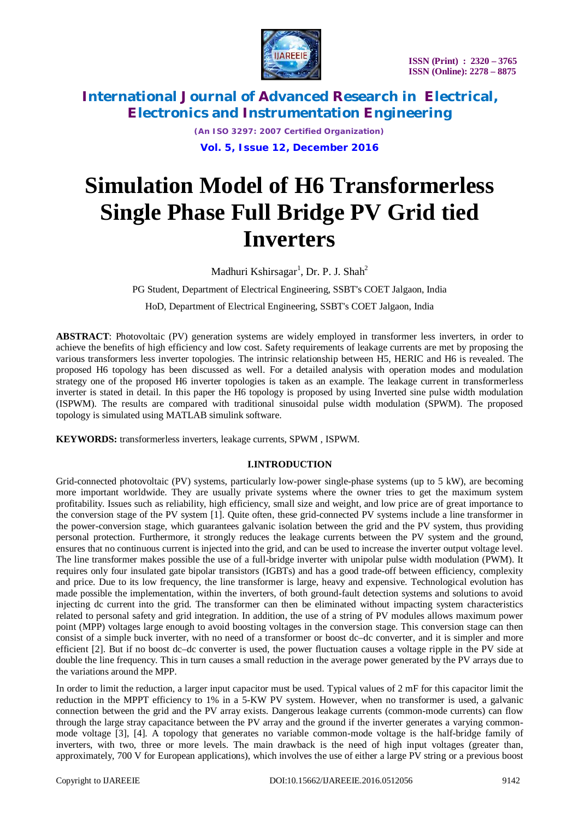

*(An ISO 3297: 2007 Certified Organization)* **Vol. 5, Issue 12, December 2016**

# **Simulation Model of H6 Transformerless Single Phase Full Bridge PV Grid tied Inverters**

Madhuri Kshirsagar<sup>1</sup>, Dr. P. J. Shah<sup>2</sup>

PG Student*,* Department of Electrical Engineering, SSBT's COET Jalgaon, India HoD, Department of Electrical Engineering, SSBT's COET Jalgaon, India

**ABSTRACT**: Photovoltaic (PV) generation systems are widely employed in transformer less inverters, in order to achieve the benefits of high efficiency and low cost. Safety requirements of leakage currents are met by proposing the various transformers less inverter topologies. The intrinsic relationship between H5, HERIC and H6 is revealed. The proposed H6 topology has been discussed as well. For a detailed analysis with operation modes and modulation strategy one of the proposed H6 inverter topologies is taken as an example. The leakage current in transformerless inverter is stated in detail. In this paper the H6 topology is proposed by using Inverted sine pulse width modulation (ISPWM). The results are compared with traditional sinusoidal pulse width modulation (SPWM). The proposed topology is simulated using MATLAB simulink software.

**KEYWORDS:** transformerless inverters, leakage currents, SPWM , ISPWM.

### **I.INTRODUCTION**

Grid-connected photovoltaic (PV) systems, particularly low-power single-phase systems (up to 5 kW), are becoming more important worldwide. They are usually private systems where the owner tries to get the maximum system profitability. Issues such as reliability, high efficiency, small size and weight, and low price are of great importance to the conversion stage of the PV system [1]. Quite often, these grid-connected PV systems include a line transformer in the power-conversion stage, which guarantees galvanic isolation between the grid and the PV system, thus providing personal protection. Furthermore, it strongly reduces the leakage currents between the PV system and the ground, ensures that no continuous current is injected into the grid, and can be used to increase the inverter output voltage level. The line transformer makes possible the use of a full-bridge inverter with unipolar pulse width modulation (PWM). It requires only four insulated gate bipolar transistors (IGBTs) and has a good trade-off between efficiency, complexity and price. Due to its low frequency, the line transformer is large, heavy and expensive. Technological evolution has made possible the implementation, within the inverters, of both ground-fault detection systems and solutions to avoid injecting dc current into the grid. The transformer can then be eliminated without impacting system characteristics related to personal safety and grid integration. In addition, the use of a string of PV modules allows maximum power point (MPP) voltages large enough to avoid boosting voltages in the conversion stage. This conversion stage can then consist of a simple buck inverter, with no need of a transformer or boost dc–dc converter, and it is simpler and more efficient [2]. But if no boost dc–dc converter is used, the power fluctuation causes a voltage ripple in the PV side at double the line frequency. This in turn causes a small reduction in the average power generated by the PV arrays due to the variations around the MPP.

In order to limit the reduction, a larger input capacitor must be used. Typical values of 2 mF for this capacitor limit the reduction in the MPPT efficiency to 1% in a 5-KW PV system. However, when no transformer is used, a galvanic connection between the grid and the PV array exists. Dangerous leakage currents (common-mode currents) can flow through the large stray capacitance between the PV array and the ground if the inverter generates a varying commonmode voltage [3], [4]. A topology that generates no variable common-mode voltage is the half-bridge family of inverters, with two, three or more levels. The main drawback is the need of high input voltages (greater than, approximately, 700 V for European applications), which involves the use of either a large PV string or a previous boost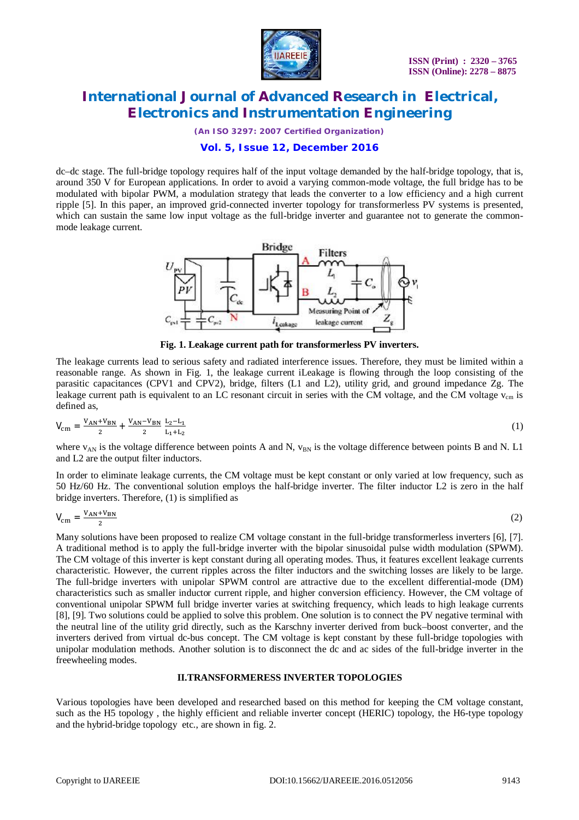

*(An ISO 3297: 2007 Certified Organization)*

### **Vol. 5, Issue 12, December 2016**

dc–dc stage. The full-bridge topology requires half of the input voltage demanded by the half-bridge topology, that is, around 350 V for European applications. In order to avoid a varying common-mode voltage, the full bridge has to be modulated with bipolar PWM, a modulation strategy that leads the converter to a low efficiency and a high current ripple [5]. In this paper, an improved grid-connected inverter topology for transformerless PV systems is presented, which can sustain the same low input voltage as the full-bridge inverter and guarantee not to generate the commonmode leakage current.



**Fig. 1. Leakage current path for transformerless PV inverters.**

The leakage currents lead to serious safety and radiated interference issues. Therefore, they must be limited within a reasonable range. As shown in Fig. 1, the leakage current iLeakage is flowing through the loop consisting of the parasitic capacitances (CPV1 and CPV2), bridge, filters (L1 and L2), utility grid, and ground impedance Zg. The leakage current path is equivalent to an LC resonant circuit in series with the CM voltage, and the CM voltage  $v_{cm}$  is defined as,

$$
V_{\rm cm} = \frac{V_{\rm AN} + V_{\rm BN}}{2} + \frac{V_{\rm AN} - V_{\rm BN}}{2} \frac{L_2 - L_1}{L_1 + L_2} \tag{1}
$$

where  $v_{AN}$  is the voltage difference between points A and N,  $v_{BN}$  is the voltage difference between points B and N. L1 and L2 are the output filter inductors.

In order to eliminate leakage currents, the CM voltage must be kept constant or only varied at low frequency, such as 50 Hz/60 Hz. The conventional solution employs the half-bridge inverter. The filter inductor L2 is zero in the half bridge inverters. Therefore, (1) is simplified as

$$
V_{\rm cm} = \frac{V_{\rm AN} + V_{\rm BN}}{2} \tag{2}
$$

Many solutions have been proposed to realize CM voltage constant in the full-bridge transformerless inverters [6], [7]. A traditional method is to apply the full-bridge inverter with the bipolar sinusoidal pulse width modulation (SPWM). The CM voltage of this inverter is kept constant during all operating modes. Thus, it features excellent leakage currents characteristic. However, the current ripples across the filter inductors and the switching losses are likely to be large. The full-bridge inverters with unipolar SPWM control are attractive due to the excellent differential-mode (DM) characteristics such as smaller inductor current ripple, and higher conversion efficiency. However, the CM voltage of conventional unipolar SPWM full bridge inverter varies at switching frequency, which leads to high leakage currents [8], [9]. Two solutions could be applied to solve this problem. One solution is to connect the PV negative terminal with the neutral line of the utility grid directly, such as the Karschny inverter derived from buck–boost converter, and the inverters derived from virtual dc-bus concept. The CM voltage is kept constant by these full-bridge topologies with unipolar modulation methods. Another solution is to disconnect the dc and ac sides of the full-bridge inverter in the freewheeling modes.

#### **II.TRANSFORMERESS INVERTER TOPOLOGIES**

Various topologies have been developed and researched based on this method for keeping the CM voltage constant, such as the H5 topology , the highly efficient and reliable inverter concept (HERIC) topology, the H6-type topology and the hybrid-bridge topology etc., are shown in fig. 2.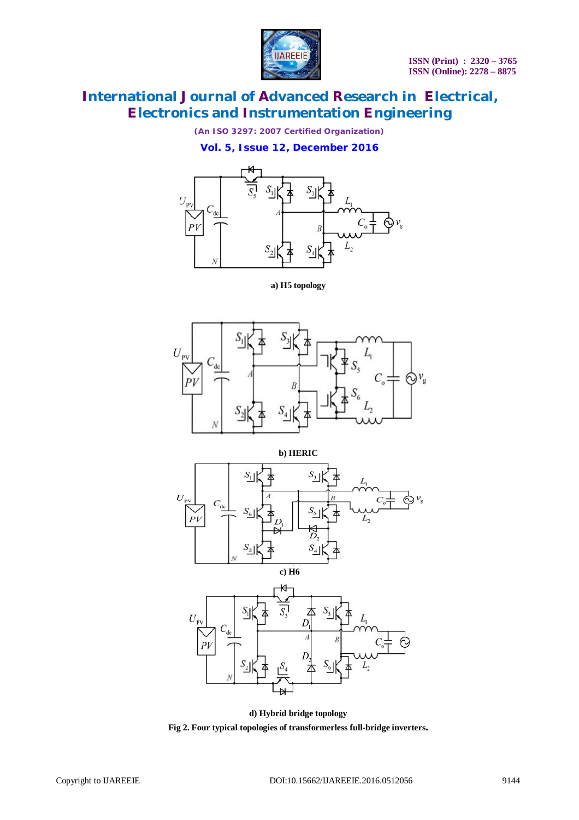

*(An ISO 3297: 2007 Certified Organization)*

**Vol. 5, Issue 12, December 2016**



**a) H5 topology**



**b) HERIC**







**d) Hybrid bridge topology Fig 2. Four typical topologies of transformerless full-bridge inverters.**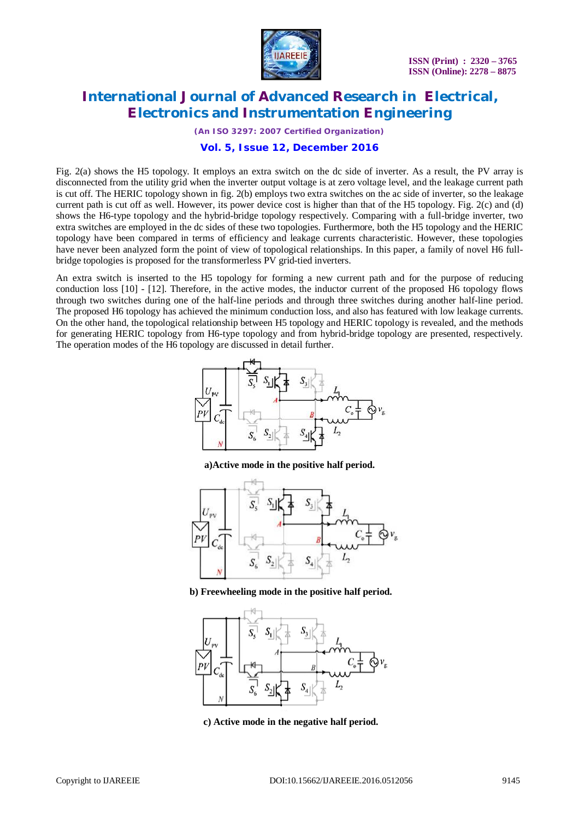

*(An ISO 3297: 2007 Certified Organization)*

### **Vol. 5, Issue 12, December 2016**

Fig. 2(a) shows the H5 topology. It employs an extra switch on the dc side of inverter. As a result, the PV array is disconnected from the utility grid when the inverter output voltage is at zero voltage level, and the leakage current path is cut off. The HERIC topology shown in fig. 2(b) employs two extra switches on the ac side of inverter, so the leakage current path is cut off as well. However, its power device cost is higher than that of the H5 topology. Fig. 2(c) and (d) shows the H6-type topology and the hybrid-bridge topology respectively. Comparing with a full-bridge inverter, two extra switches are employed in the dc sides of these two topologies. Furthermore, both the H5 topology and the HERIC topology have been compared in terms of efficiency and leakage currents characteristic. However, these topologies have never been analyzed form the point of view of topological relationships. In this paper, a family of novel H6 fullbridge topologies is proposed for the transformerless PV grid-tied inverters.

An extra switch is inserted to the H5 topology for forming a new current path and for the purpose of reducing conduction loss [10] - [12]. Therefore, in the active modes, the inductor current of the proposed H6 topology flows through two switches during one of the half-line periods and through three switches during another half-line period. The proposed H6 topology has achieved the minimum conduction loss, and also has featured with low leakage currents. On the other hand, the topological relationship between H5 topology and HERIC topology is revealed, and the methods for generating HERIC topology from H6-type topology and from hybrid-bridge topology are presented, respectively. The operation modes of the H6 topology are discussed in detail further.



**a)Active mode in the positive half period.**



**b) Freewheeling mode in the positive half period.**



**c) Active mode in the negative half period.**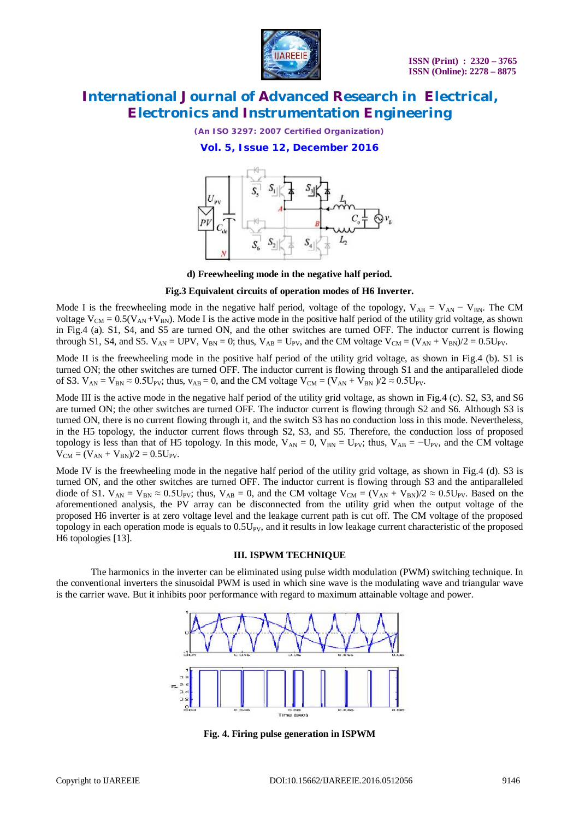

*(An ISO 3297: 2007 Certified Organization)*

**Vol. 5, Issue 12, December 2016**



**d) Freewheeling mode in the negative half period.**

#### **Fig.3 Equivalent circuits of operation modes of H6 Inverter.**

Mode I is the freewheeling mode in the negative half period, voltage of the topology,  $V_{AB} = V_{AN} - V_{BN}$ . The CM voltage  $V_{CM} = 0.5(V_{AN} + V_{BN})$ . Mode I is the active mode in the positive half period of the utility grid voltage, as shown in Fig.4 (a). S1, S4, and S5 are turned ON, and the other switches are turned OFF. The inductor current is flowing through S1, S4, and S5.  $V_{AN} = UPV$ ,  $V_{BN} = 0$ ; thus,  $V_{AB} = V_{PV}$ , and the CM voltage  $V_{CM} = (V_{AN} + V_{BN})/2 = 0.5V_{PV}$ .

Mode II is the freewheeling mode in the positive half period of the utility grid voltage, as shown in Fig.4 (b). S1 is turned ON; the other switches are turned OFF. The inductor current is flowing through S1 and the antiparalleled diode of S3.  $V_{AN} = V_{BN} \approx 0.5U_{PV}$ ; thus,  $v_{AB} = 0$ , and the CM voltage  $V_{CM} = (V_{AN} + V_{BN})/2 \approx 0.5U_{PV}$ .

Mode III is the active mode in the negative half period of the utility grid voltage, as shown in Fig.4 (c). S2, S3, and S6 are turned ON; the other switches are turned OFF. The inductor current is flowing through S2 and S6. Although S3 is turned ON, there is no current flowing through it, and the switch S3 has no conduction loss in this mode. Nevertheless, in the H5 topology, the inductor current flows through S2, S3, and S5. Therefore, the conduction loss of proposed topology is less than that of H5 topology. In this mode,  $V_{AN} = 0$ ,  $V_{BN} = U_{PV}$ ; thus,  $V_{AB} = -U_{PV}$ , and the CM voltage  $V_{CM} = (V_{AN} + V_{BN})/2 = 0.5U_{PV}$ .

Mode IV is the freewheeling mode in the negative half period of the utility grid voltage, as shown in Fig.4 (d). S3 is turned ON, and the other switches are turned OFF. The inductor current is flowing through S3 and the antiparalleled diode of S1.  $V_{AN} = V_{BN} \approx 0.5U_{PV}$ ; thus,  $V_{AB} = 0$ , and the CM voltage  $V_{CM} = (V_{AN} + V_{BN})/2 \approx 0.5U_{PV}$ . Based on the aforementioned analysis, the PV array can be disconnected from the utility grid when the output voltage of the proposed H6 inverter is at zero voltage level and the leakage current path is cut off. The CM voltage of the proposed topology in each operation mode is equals to  $0.5U_{PV}$ , and it results in low leakage current characteristic of the proposed H6 topologies [13].

#### **III. ISPWM TECHNIQUE**

The harmonics in the inverter can be eliminated using pulse width modulation (PWM) switching technique. In the conventional inverters the sinusoidal PWM is used in which sine wave is the modulating wave and triangular wave is the carrier wave. But it inhibits poor performance with regard to maximum attainable voltage and power.



**Fig. 4. Firing pulse generation in ISPWM**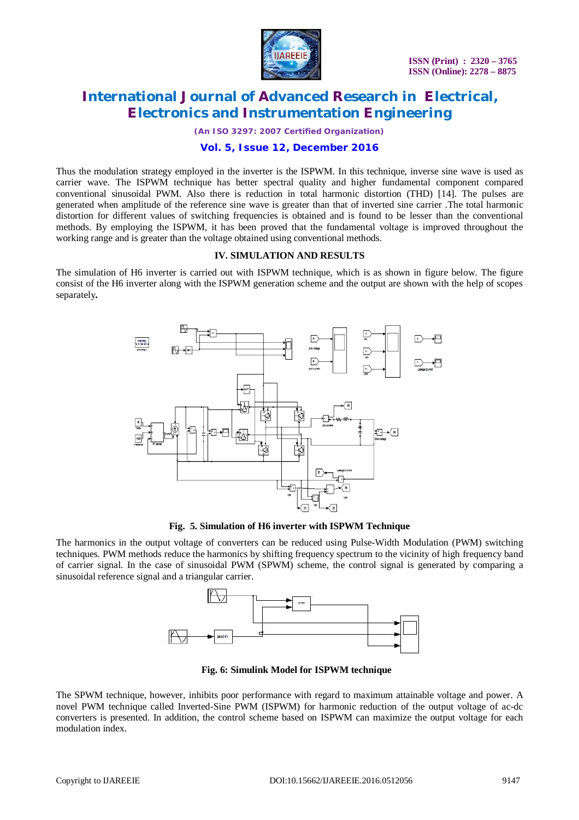

*(An ISO 3297: 2007 Certified Organization)*

### **Vol. 5, Issue 12, December 2016**

Thus the modulation strategy employed in the inverter is the ISPWM. In this technique, inverse sine wave is used as carrier wave. The ISPWM technique has better spectral quality and higher fundamental component compared conventional sinusoidal PWM. Also there is reduction in total harmonic distortion (THD) [14]. The pulses are generated when amplitude of the reference sine wave is greater than that of inverted sine carrier .The total harmonic distortion for different values of switching frequencies is obtained and is found to be lesser than the conventional methods. By employing the ISPWM, it has been proved that the fundamental voltage is improved throughout the working range and is greater than the voltage obtained using conventional methods.

### **IV. SIMULATION AND RESULTS**

The simulation of H6 inverter is carried out with ISPWM technique, which is as shown in figure below. The figure consist of the H6 inverter along with the ISPWM generation scheme and the output are shown with the help of scopes separately**.**



**Fig. 5. Simulation of H6 inverter with ISPWM Technique**

The harmonics in the output voltage of converters can be reduced using Pulse-Width Modulation (PWM) switching techniques. PWM methods reduce the harmonics by shifting frequency spectrum to the vicinity of high frequency band of carrier signal. In the case of sinusoidal PWM (SPWM) scheme, the control signal is generated by comparing a sinusoidal reference signal and a triangular carrier.



**Fig. 6: Simulink Model for ISPWM technique**

The SPWM technique, however, inhibits poor performance with regard to maximum attainable voltage and power. A novel PWM technique called Inverted-Sine PWM (ISPWM) for harmonic reduction of the output voltage of ac-dc converters is presented. In addition, the control scheme based on ISPWM can maximize the output voltage for each modulation index.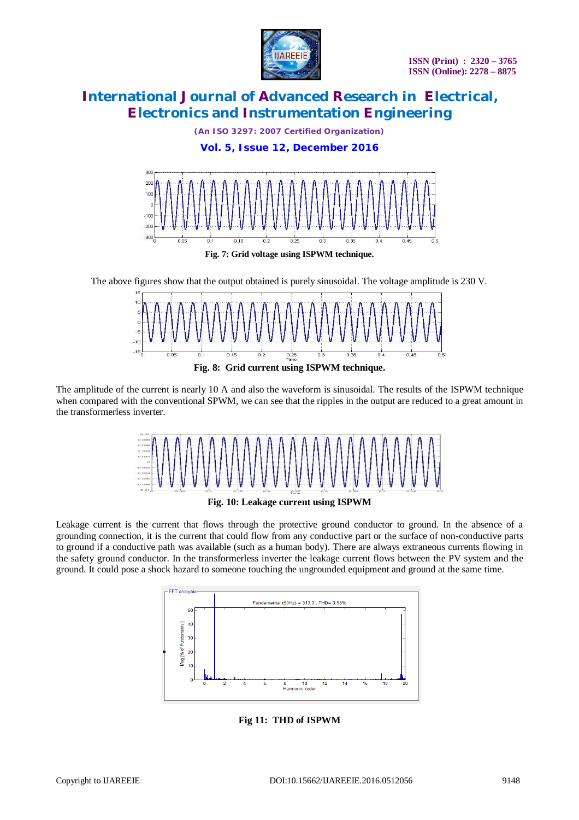

*(An ISO 3297: 2007 Certified Organization)*

### **Vol. 5, Issue 12, December 2016**



The above figures show that the output obtained is purely sinusoidal. The voltage amplitude is 230 V.





The amplitude of the current is nearly 10 A and also the waveform is sinusoidal. The results of the ISPWM technique when compared with the conventional SPWM, we can see that the ripples in the output are reduced to a great amount in the transformerless inverter.



**Fig. 10: Leakage current using ISPWM**

Leakage current is the current that flows through the protective ground conductor to ground. In the absence of a grounding connection, it is the current that could flow from any conductive part or the surface of non-conductive parts to ground if a conductive path was available (such as a human body). There are always extraneous currents flowing in the safety ground conductor. In the transformerless inverter the leakage current flows between the PV system and the ground. It could pose a shock hazard to someone touching the ungrounded equipment and ground at the same time.



**Fig 11: THD of ISPWM**